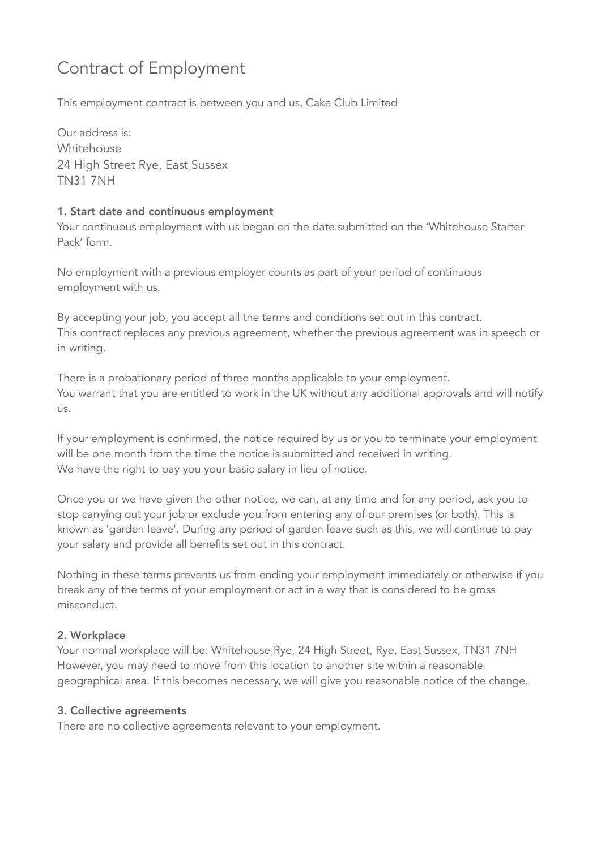# Contract of Employment

This employment contract is between you and us, Cake Club Limited

Our address is: Whitehouse 24 High Street Rye, East Sussex TN31 7NH

### 1. Start date and continuous employment

Your continuous employment with us began on the date submitted on the 'Whitehouse Starter Pack' form.

No employment with a previous employer counts as part of your period of continuous employment with us.

By accepting your job, you accept all the terms and conditions set out in this contract. This contract replaces any previous agreement, whether the previous agreement was in speech or in writing.

There is a probationary period of three months applicable to your employment. You warrant that you are entitled to work in the UK without any additional approvals and will notify  $115$ 

If your employment is confirmed, the notice required by us or you to terminate your employment will be one month from the time the notice is submitted and received in writing. We have the right to pay you your basic salary in lieu of notice.

Once you or we have given the other notice, we can, at any time and for any period, ask you to stop carrying out your job or exclude you from entering any of our premises (or both). This is known as 'garden leave'. During any period of garden leave such as this, we will continue to pay your salary and provide all benefits set out in this contract.

Nothing in these terms prevents us from ending your employment immediately or otherwise if you break any of the terms of your employment or act in a way that is considered to be gross misconduct.

## 2. Workplace

Your normal workplace will be: Whitehouse Rye, 24 High Street, Rye, East Sussex, TN31 7NH However, you may need to move from this location to another site within a reasonable geographical area. If this becomes necessary, we will give you reasonable notice of the change.

#### 3. Collective agreements

There are no collective agreements relevant to your employment.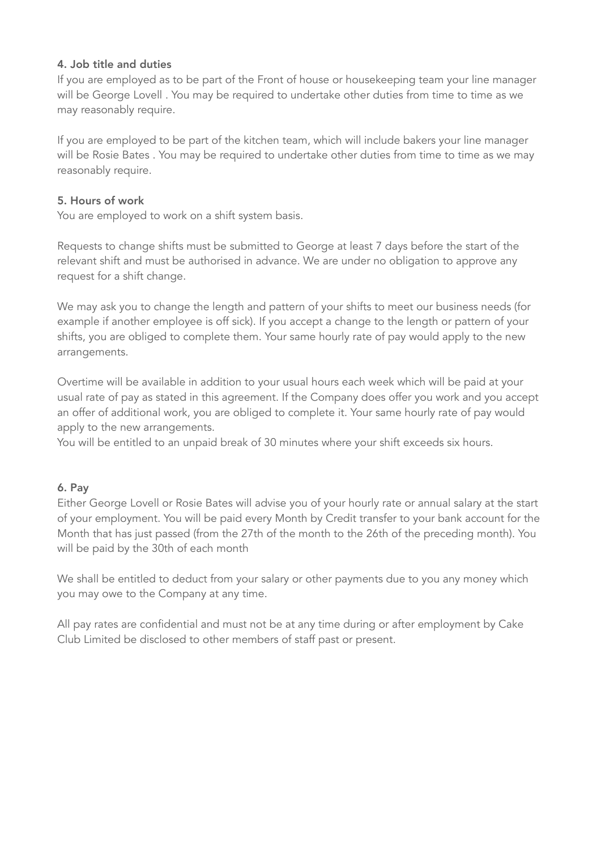#### 4. Job title and duties

If you are employed as to be part of the Front of house or housekeeping team your line manager will be George Lovell . You may be required to undertake other duties from time to time as we may reasonably require.

If you are employed to be part of the kitchen team, which will include bakers your line manager will be Rosie Bates . You may be required to undertake other duties from time to time as we may reasonably require.

#### 5. Hours of work

You are employed to work on a shift system basis.

Requests to change shifts must be submitted to George at least 7 days before the start of the relevant shift and must be authorised in advance. We are under no obligation to approve any request for a shift change.

We may ask you to change the length and pattern of your shifts to meet our business needs (for example if another employee is off sick). If you accept a change to the length or pattern of your shifts, you are obliged to complete them. Your same hourly rate of pay would apply to the new arrangements.

Overtime will be available in addition to your usual hours each week which will be paid at your usual rate of pay as stated in this agreement. If the Company does offer you work and you accept an offer of additional work, you are obliged to complete it. Your same hourly rate of pay would apply to the new arrangements.

You will be entitled to an unpaid break of 30 minutes where your shift exceeds six hours.

#### 6. Pay

Either George Lovell or Rosie Bates will advise you of your hourly rate or annual salary at the start of your employment. You will be paid every Month by Credit transfer to your bank account for the Month that has just passed (from the 27th of the month to the 26th of the preceding month). You will be paid by the 30th of each month

We shall be entitled to deduct from your salary or other payments due to you any money which you may owe to the Company at any time.

All pay rates are confidential and must not be at any time during or after employment by Cake Club Limited be disclosed to other members of staff past or present.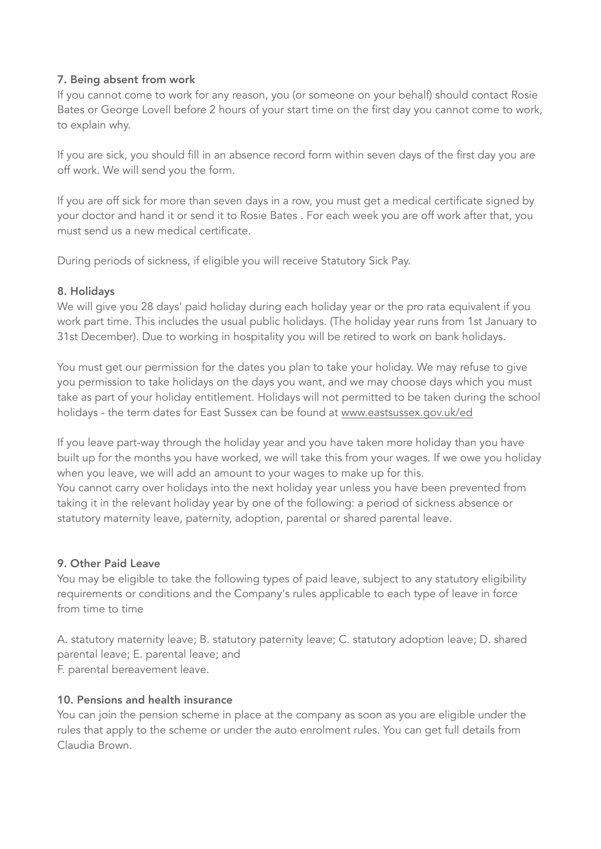#### 7. Being absent from work

If you cannot come to work for any reason, you (or someone on your behalf) should contact Rosie Bates or George Lovell before 2 hours of your start time on the first day you cannot come to work, to explain why.

If you are sick, you should fill in an absence record form within seven days of the first day you are off work. We will send you the form.

If you are off sick for more than seven days in a row, you must get a medical certificate signed by your doctor and hand it or send it to Rosie Bates . For each week you are off work after that, you must send us a new medical certificate.

During periods of sickness, if eligible you will receive Statutory Sick Pay.

#### 8. Holidays

We will give you 28 days' paid holiday during each holiday year or the pro rata equivalent if you work part time. This includes the usual public holidays. (The holiday year runs from 1st January to 31st December). Due to working in hospitality you will be retired to work on bank holidays.

You must get our permission for the dates you plan to take your holiday. We may refuse to give you permission to take holidays on the days you want, and we may choose days which you must take as part of your holiday entitlement. Holidays will not permitted to be taken during the school holidays - the term dates for East Sussex can be found at [www.eastsussex.gov.uk/ed](http://www.eastsussex.gov.uk/ed)

If you leave part-way through the holiday year and you have taken more holiday than you have built up for the months you have worked, we will take this from your wages. If we owe you holiday when you leave, we will add an amount to your wages to make up for this.

You cannot carry over holidays into the next holiday year unless you have been prevented from taking it in the relevant holiday year by one of the following: a period of sickness absence or statutory maternity leave, paternity, adoption, parental or shared parental leave.

#### 9. Other Paid Leave

You may be eligible to take the following types of paid leave, subject to any statutory eligibility requirements or conditions and the Company's rules applicable to each type of leave in force from time to time

A. statutory maternity leave; B. statutory paternity leave; C. statutory adoption leave; D. shared parental leave; E. parental leave; and F. parental bereavement leave.

#### 10. Pensions and health insurance

You can join the pension scheme in place at the company as soon as you are eligible under the rules that apply to the scheme or under the auto enrolment rules. You can get full details from Claudia Brown.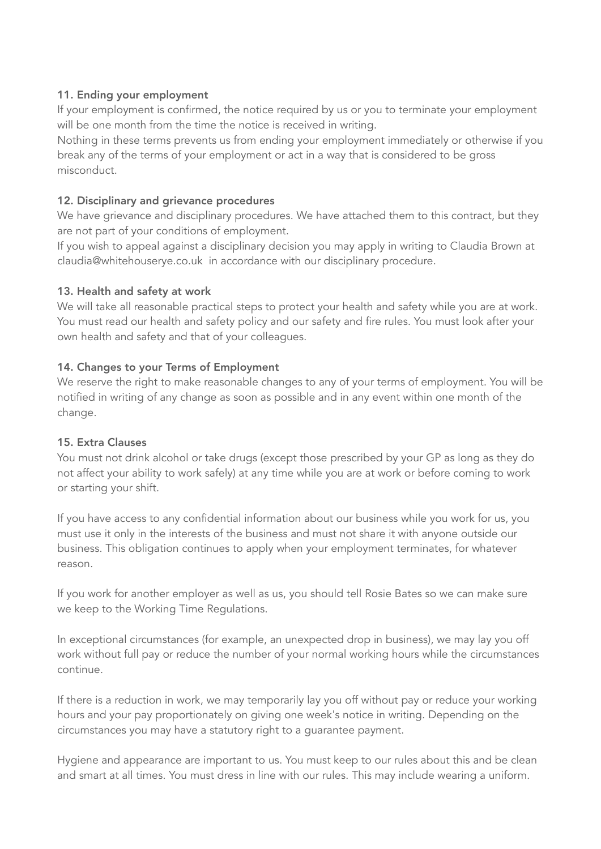#### 11. Ending your employment

If your employment is confirmed, the notice required by us or you to terminate your employment will be one month from the time the notice is received in writing.

Nothing in these terms prevents us from ending your employment immediately or otherwise if you break any of the terms of your employment or act in a way that is considered to be gross misconduct.

#### 12. Disciplinary and grievance procedures

We have grievance and disciplinary procedures. We have attached them to this contract, but they are not part of your conditions of employment.

If you wish to appeal against a disciplinary decision you may apply in writing to Claudia Brown at [claudia@whitehouserye.co.uk](mailto:claudia@whitehouserye.co.uk) in accordance with our disciplinary procedure.

#### 13. Health and safety at work

We will take all reasonable practical steps to protect your health and safety while you are at work. You must read our health and safety policy and our safety and fire rules. You must look after your own health and safety and that of your colleagues.

#### 14. Changes to your Terms of Employment

We reserve the right to make reasonable changes to any of your terms of employment. You will be notified in writing of any change as soon as possible and in any event within one month of the change.

#### 15. Extra Clauses

You must not drink alcohol or take drugs (except those prescribed by your GP as long as they do not affect your ability to work safely) at any time while you are at work or before coming to work or starting your shift.

If you have access to any confidential information about our business while you work for us, you must use it only in the interests of the business and must not share it with anyone outside our business. This obligation continues to apply when your employment terminates, for whatever reason.

If you work for another employer as well as us, you should tell Rosie Bates so we can make sure we keep to the Working Time Regulations.

In exceptional circumstances (for example, an unexpected drop in business), we may lay you off work without full pay or reduce the number of your normal working hours while the circumstances continue.

If there is a reduction in work, we may temporarily lay you off without pay or reduce your working hours and your pay proportionately on giving one week's notice in writing. Depending on the circumstances you may have a statutory right to a guarantee payment.

Hygiene and appearance are important to us. You must keep to our rules about this and be clean and smart at all times. You must dress in line with our rules. This may include wearing a uniform.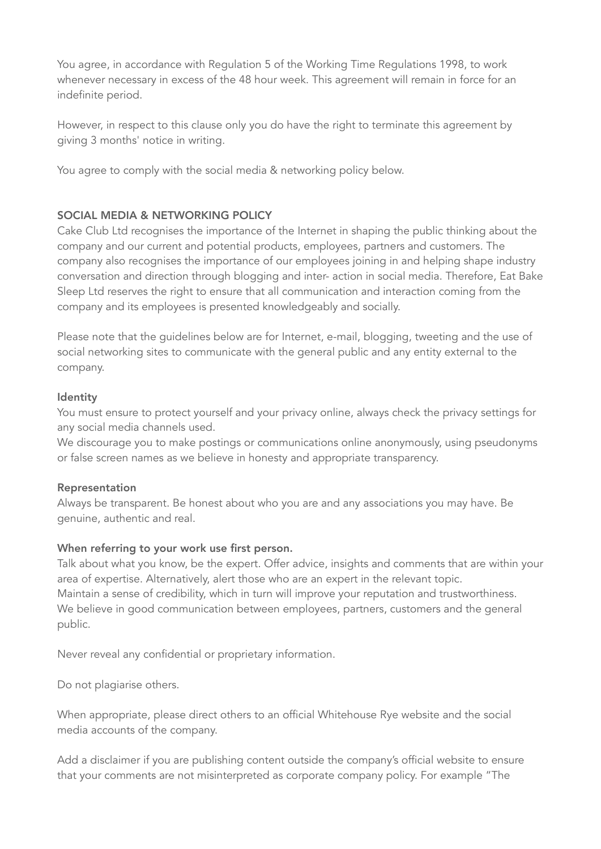You agree, in accordance with Regulation 5 of the Working Time Regulations 1998, to work whenever necessary in excess of the 48 hour week. This agreement will remain in force for an indefinite period.

However, in respect to this clause only you do have the right to terminate this agreement by giving 3 months' notice in writing.

You agree to comply with the social media & networking policy below.

#### SOCIAL MEDIA & NETWORKING POLICY

Cake Club Ltd recognises the importance of the Internet in shaping the public thinking about the company and our current and potential products, employees, partners and customers. The company also recognises the importance of our employees joining in and helping shape industry conversation and direction through blogging and inter- action in social media. Therefore, Eat Bake Sleep Ltd reserves the right to ensure that all communication and interaction coming from the company and its employees is presented knowledgeably and socially.

Please note that the guidelines below are for Internet, e-mail, blogging, tweeting and the use of social networking sites to communicate with the general public and any entity external to the company.

#### Identity

You must ensure to protect yourself and your privacy online, always check the privacy settings for any social media channels used.

We discourage you to make postings or communications online anonymously, using pseudonyms or false screen names as we believe in honesty and appropriate transparency.

#### Representation

Always be transparent. Be honest about who you are and any associations you may have. Be genuine, authentic and real.

#### When referring to your work use first person.

Talk about what you know, be the expert. Offer advice, insights and comments that are within your area of expertise. Alternatively, alert those who are an expert in the relevant topic. Maintain a sense of credibility, which in turn will improve your reputation and trustworthiness. We believe in good communication between employees, partners, customers and the general public.

Never reveal any confidential or proprietary information.

Do not plagiarise others.

When appropriate, please direct others to an official Whitehouse Rye website and the social media accounts of the company.

Add a disclaimer if you are publishing content outside the company's official website to ensure that your comments are not misinterpreted as corporate company policy. For example "The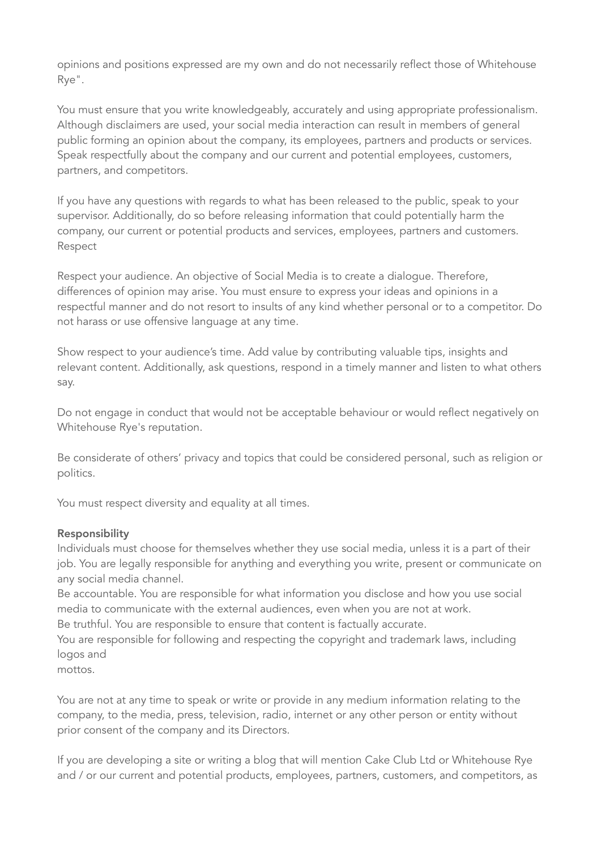opinions and positions expressed are my own and do not necessarily reflect those of Whitehouse Rye".

You must ensure that you write knowledgeably, accurately and using appropriate professionalism. Although disclaimers are used, your social media interaction can result in members of general public forming an opinion about the company, its employees, partners and products or services. Speak respectfully about the company and our current and potential employees, customers, partners, and competitors.

If you have any questions with regards to what has been released to the public, speak to your supervisor. Additionally, do so before releasing information that could potentially harm the company, our current or potential products and services, employees, partners and customers. Respect

Respect your audience. An objective of Social Media is to create a dialogue. Therefore, differences of opinion may arise. You must ensure to express your ideas and opinions in a respectful manner and do not resort to insults of any kind whether personal or to a competitor. Do not harass or use offensive language at any time.

Show respect to your audience's time. Add value by contributing valuable tips, insights and relevant content. Additionally, ask questions, respond in a timely manner and listen to what others say.

Do not engage in conduct that would not be acceptable behaviour or would reflect negatively on Whitehouse Rye's reputation.

Be considerate of others' privacy and topics that could be considered personal, such as religion or politics.

You must respect diversity and equality at all times.

#### Responsibility

Individuals must choose for themselves whether they use social media, unless it is a part of their job. You are legally responsible for anything and everything you write, present or communicate on any social media channel.

Be accountable. You are responsible for what information you disclose and how you use social media to communicate with the external audiences, even when you are not at work.

Be truthful. You are responsible to ensure that content is factually accurate.

You are responsible for following and respecting the copyright and trademark laws, including logos and

mottos.

You are not at any time to speak or write or provide in any medium information relating to the company, to the media, press, television, radio, internet or any other person or entity without prior consent of the company and its Directors.

If you are developing a site or writing a blog that will mention Cake Club Ltd or Whitehouse Rye and / or our current and potential products, employees, partners, customers, and competitors, as